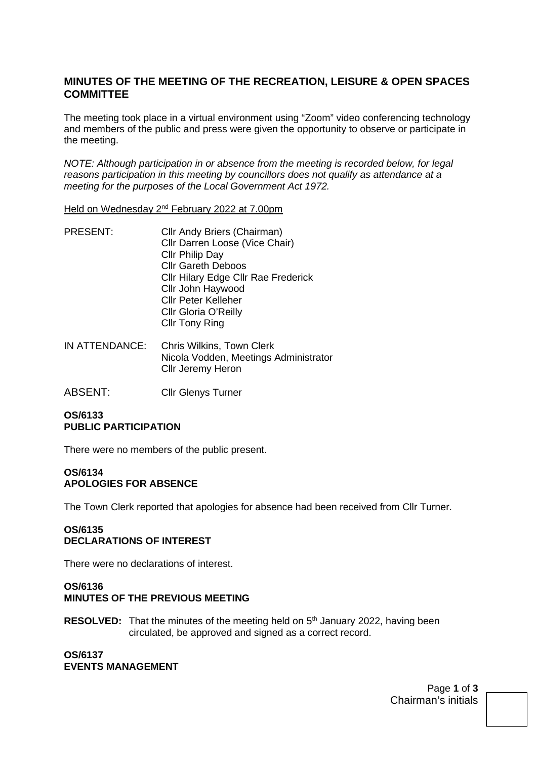### **MINUTES OF THE MEETING OF THE RECREATION, LEISURE & OPEN SPACES COMMITTEE**

The meeting took place in a virtual environment using "Zoom" video conferencing technology and members of the public and press were given the opportunity to observe or participate in the meeting.

*NOTE: Although participation in or absence from the meeting is recorded below, for legal reasons participation in this meeting by councillors does not qualify as attendance at a meeting for the purposes of the Local Government Act 1972.* 

Held on Wednesday 2nd February 2022 at 7.00pm

- PRESENT: Cllr Andy Briers (Chairman) Cllr Darren Loose (Vice Chair) Cllr Philip Day Cllr Gareth Deboos Cllr Hilary Edge Cllr Rae Frederick Cllr John Haywood Cllr Peter Kelleher Cllr Gloria O'Reilly Cllr Tony Ring
- IN ATTENDANCE: Chris Wilkins, Town Clerk Nicola Vodden, Meetings Administrator Cllr Jeremy Heron
- ABSENT: Cllr Glenys Turner

#### **OS/6133 PUBLIC PARTICIPATION**

There were no members of the public present.

#### **OS/6134 APOLOGIES FOR ABSENCE**

The Town Clerk reported that apologies for absence had been received from Cllr Turner.

#### **OS/6135 DECLARATIONS OF INTEREST**

There were no declarations of interest.

## **OS/6136**

- **MINUTES OF THE PREVIOUS MEETING**
- **RESOLVED:** That the minutes of the meeting held on 5<sup>th</sup> January 2022, having been circulated, be approved and signed as a correct record.

**OS/6137 EVENTS MANAGEMENT** 

> Page **1** of **3** Chairman's initials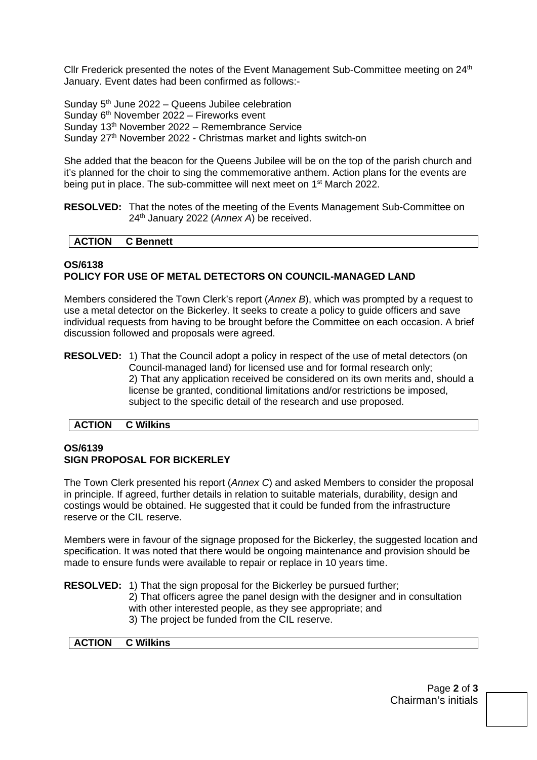Cllr Frederick presented the notes of the Event Management Sub-Committee meeting on 24<sup>th</sup> January. Event dates had been confirmed as follows:-

Sunday  $5<sup>th</sup>$  June 2022 – Queens Jubilee celebration Sunday 6<sup>th</sup> November 2022 – Fireworks event Sunday 13th November 2022 – Remembrance Service Sunday 27<sup>th</sup> November 2022 - Christmas market and lights switch-on

She added that the beacon for the Queens Jubilee will be on the top of the parish church and it's planned for the choir to sing the commemorative anthem. Action plans for the events are being put in place. The sub-committee will next meet on 1<sup>st</sup> March 2022.

**RESOLVED:** That the notes of the meeting of the Events Management Sub-Committee on 24th January 2022 (*Annex A*) be received.

#### **ACTION C Bennett**

#### **OS/6138 POLICY FOR USE OF METAL DETECTORS ON COUNCIL-MANAGED LAND**

Members considered the Town Clerk's report (*Annex B*), which was prompted by a request to use a metal detector on the Bickerley. It seeks to create a policy to guide officers and save individual requests from having to be brought before the Committee on each occasion. A brief discussion followed and proposals were agreed.

**RESOLVED:** 1) That the Council adopt a policy in respect of the use of metal detectors (on Council-managed land) for licensed use and for formal research only; 2) That any application received be considered on its own merits and, should a license be granted, conditional limitations and/or restrictions be imposed, subject to the specific detail of the research and use proposed.

#### **ACTION C Wilkins**

#### **OS/6139 SIGN PROPOSAL FOR BICKERLEY**

The Town Clerk presented his report (*Annex C*) and asked Members to consider the proposal in principle. If agreed, further details in relation to suitable materials, durability, design and costings would be obtained. He suggested that it could be funded from the infrastructure reserve or the CIL reserve.

Members were in favour of the signage proposed for the Bickerley, the suggested location and specification. It was noted that there would be ongoing maintenance and provision should be made to ensure funds were available to repair or replace in 10 years time.

**RESOLVED:** 1) That the sign proposal for the Bickerley be pursued further; 2) That officers agree the panel design with the designer and in consultation with other interested people, as they see appropriate; and 3) The project be funded from the CIL reserve.

#### **ACTION C Wilkins**

Page **2** of **3** Chairman's initials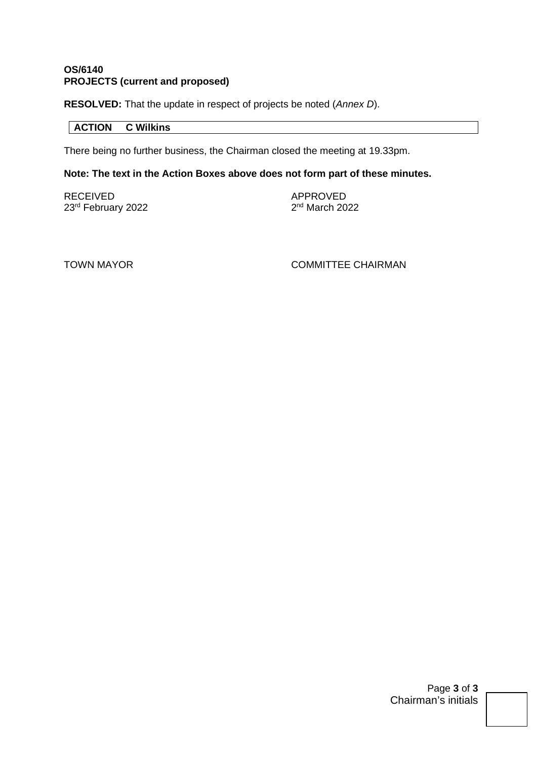#### **OS/6140 PROJECTS (current and proposed)**

**RESOLVED:** That the update in respect of projects be noted (*Annex D*).

#### **ACTION C Wilkins**

There being no further business, the Chairman closed the meeting at 19.33pm.

#### **Note: The text in the Action Boxes above does not form part of these minutes.**

RECEIVED APPROVED 23rd February 2022

 $2<sup>nd</sup>$  March 2022

TOWN MAYOR **COMMITTEE CHAIRMAN** 

Page **3** of **3** Chairman's initials

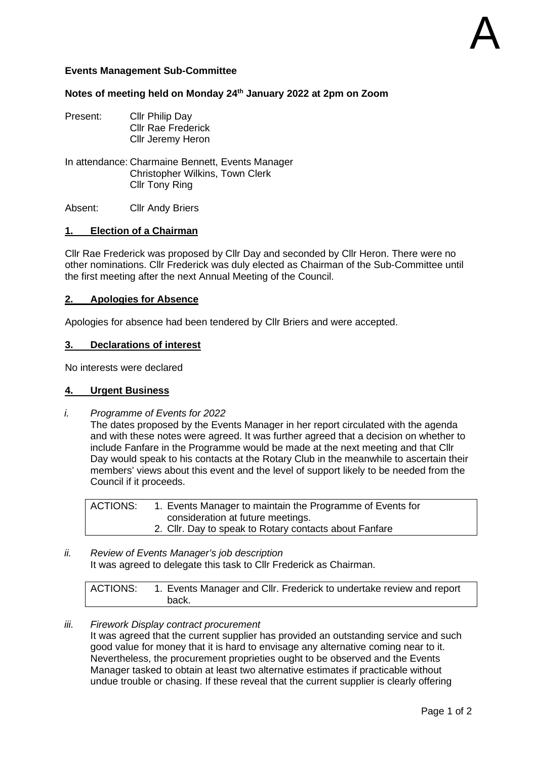#### **Events Management Sub-Committee**

#### **Notes of meeting held on Monday 24th January 2022 at 2pm on Zoom**

- Present: Cllr Philip Day Cllr Rae Frederick Cllr Jeremy Heron
- In attendance: Charmaine Bennett, Events Manager Christopher Wilkins, Town Clerk Cllr Tony Ring

Absent: Cllr Andy Briers

#### **1. Election of a Chairman**

Cllr Rae Frederick was proposed by Cllr Day and seconded by Cllr Heron. There were no other nominations. Cllr Frederick was duly elected as Chairman of the Sub-Committee until the first meeting after the next Annual Meeting of the Council.

#### **2. Apologies for Absence**

Apologies for absence had been tendered by Cllr Briers and were accepted.

#### **3. Declarations of interest**

No interests were declared

#### **4. Urgent Business**

*i. Programme of Events for 2022* 

The dates proposed by the Events Manager in her report circulated with the agenda and with these notes were agreed. It was further agreed that a decision on whether to include Fanfare in the Programme would be made at the next meeting and that Cllr Day would speak to his contacts at the Rotary Club in the meanwhile to ascertain their members' views about this event and the level of support likely to be needed from the Council if it proceeds.

| ACTIONS: | 1. Events Manager to maintain the Programme of Events for |
|----------|-----------------------------------------------------------|
|          | consideration at future meetings.                         |
|          | 2. Cllr. Day to speak to Rotary contacts about Fanfare    |

*ii. Review of Events Manager's job description*  It was agreed to delegate this task to Cllr Frederick as Chairman.

| ACTIONS: | 1. Events Manager and Cllr. Frederick to undertake review and report |
|----------|----------------------------------------------------------------------|
|          | back.                                                                |

#### *iii. Firework Display contract procurement*

It was agreed that the current supplier has provided an outstanding service and such good value for money that it is hard to envisage any alternative coming near to it. Nevertheless, the procurement proprieties ought to be observed and the Events Manager tasked to obtain at least two alternative estimates if practicable without undue trouble or chasing. If these reveal that the current supplier is clearly offering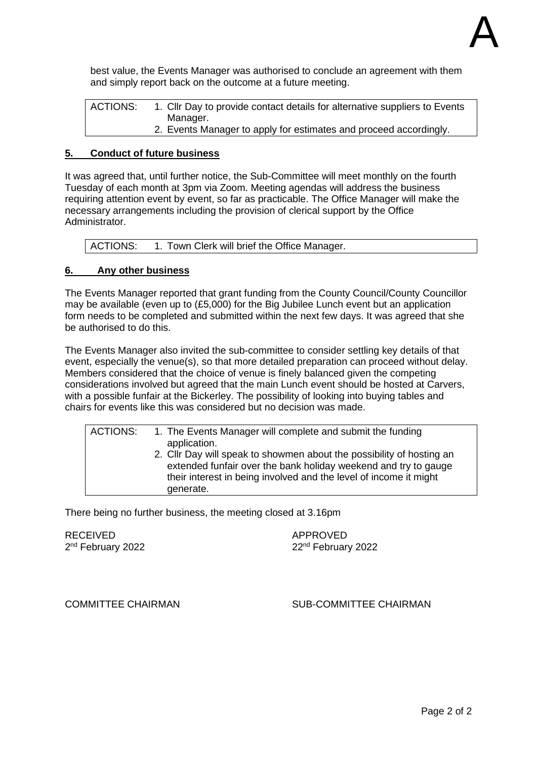

best value, the Events Manager was authorised to conclude an agreement with them and simply report back on the outcome at a future meeting.

ACTIONS: 1. Cllr Day to provide contact details for alternative suppliers to Events Manager. 2. Events Manager to apply for estimates and proceed accordingly.

#### **5. Conduct of future business**

It was agreed that, until further notice, the Sub-Committee will meet monthly on the fourth Tuesday of each month at 3pm via Zoom. Meeting agendas will address the business requiring attention event by event, so far as practicable. The Office Manager will make the necessary arrangements including the provision of clerical support by the Office Administrator.

| ACTIONS: | 1. Town Clerk will brief the Office Manager. |
|----------|----------------------------------------------|
|----------|----------------------------------------------|

#### **6. Any other business**

The Events Manager reported that grant funding from the County Council/County Councillor may be available (even up to (£5,000) for the Big Jubilee Lunch event but an application form needs to be completed and submitted within the next few days. It was agreed that she be authorised to do this.

The Events Manager also invited the sub-committee to consider settling key details of that event, especially the venue(s), so that more detailed preparation can proceed without delay. Members considered that the choice of venue is finely balanced given the competing considerations involved but agreed that the main Lunch event should be hosted at Carvers, with a possible funfair at the Bickerley. The possibility of looking into buying tables and chairs for events like this was considered but no decision was made.

| <b>ACTIONS:</b> | 1. The Events Manager will complete and submit the funding<br>application.<br>2. Cllr Day will speak to showmen about the possibility of hosting an<br>extended funfair over the bank holiday weekend and try to gauge<br>their interest in being involved and the level of income it might<br>generate. |
|-----------------|----------------------------------------------------------------------------------------------------------------------------------------------------------------------------------------------------------------------------------------------------------------------------------------------------------|
|                 |                                                                                                                                                                                                                                                                                                          |

There being no further business, the meeting closed at 3.16pm

RECEIVED APPROVED 2<sup>nd</sup> February 2022

 $22<sup>nd</sup>$  February 2022

COMMITTEE CHAIRMAN SUB-COMMITTEE CHAIRMAN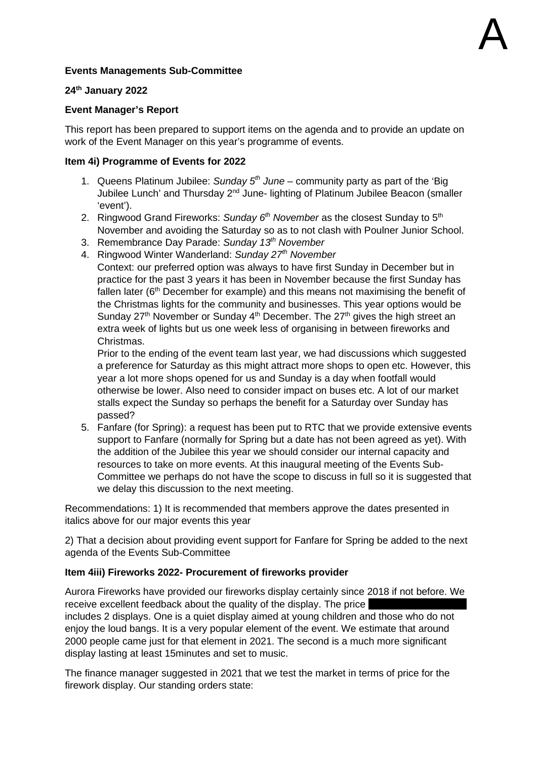#### **Events Managements Sub-Committee**

#### **24th January 2022**

#### **Event Manager's Report**

This report has been prepared to support items on the agenda and to provide an update on work of the Event Manager on this year's programme of events.

#### **Item 4i) Programme of Events for 2022**

- 1. Queens Platinum Jubilee: *Sunday 5th June* community party as part of the 'Big Jubilee Lunch' and Thursday 2nd June- lighting of Platinum Jubilee Beacon (smaller 'event').
- 2. Ringwood Grand Fireworks: *Sunday 6th November* as the closest Sunday to 5th November and avoiding the Saturday so as to not clash with Poulner Junior School.
- 3. Remembrance Day Parade: *Sunday 13th November*
- 4. Ringwood Winter Wanderland: *Sunday 27th November*

Context: our preferred option was always to have first Sunday in December but in practice for the past 3 years it has been in November because the first Sunday has fallen later ( $6<sup>th</sup>$  December for example) and this means not maximising the benefit of the Christmas lights for the community and businesses. This year options would be Sunday  $27<sup>th</sup>$  November or Sunday  $4<sup>th</sup>$  December. The  $27<sup>th</sup>$  gives the high street an extra week of lights but us one week less of organising in between fireworks and Christmas.

Prior to the ending of the event team last year, we had discussions which suggested a preference for Saturday as this might attract more shops to open etc. However, this year a lot more shops opened for us and Sunday is a day when footfall would otherwise be lower. Also need to consider impact on buses etc. A lot of our market stalls expect the Sunday so perhaps the benefit for a Saturday over Sunday has passed?

5. Fanfare (for Spring): a request has been put to RTC that we provide extensive events support to Fanfare (normally for Spring but a date has not been agreed as yet). With the addition of the Jubilee this year we should consider our internal capacity and resources to take on more events. At this inaugural meeting of the Events Sub-Committee we perhaps do not have the scope to discuss in full so it is suggested that we delay this discussion to the next meeting.

Recommendations: 1) It is recommended that members approve the dates presented in italics above for our major events this year

2) That a decision about providing event support for Fanfare for Spring be added to the next agenda of the Events Sub-Committee

#### **Item 4iii) Fireworks 2022- Procurement of fireworks provider**

Aurora Fireworks have provided our fireworks display certainly since 2018 if not before. We receive excellent feedback about the quality of the display. The price includes 2 displays. One is a quiet display aimed at young children and those who do not enjoy the loud bangs. It is a very popular element of the event. We estimate that around 2000 people came just for that element in 2021. The second is a much more significant display lasting at least 15minutes and set to music.

The finance manager suggested in 2021 that we test the market in terms of price for the firework display. Our standing orders state: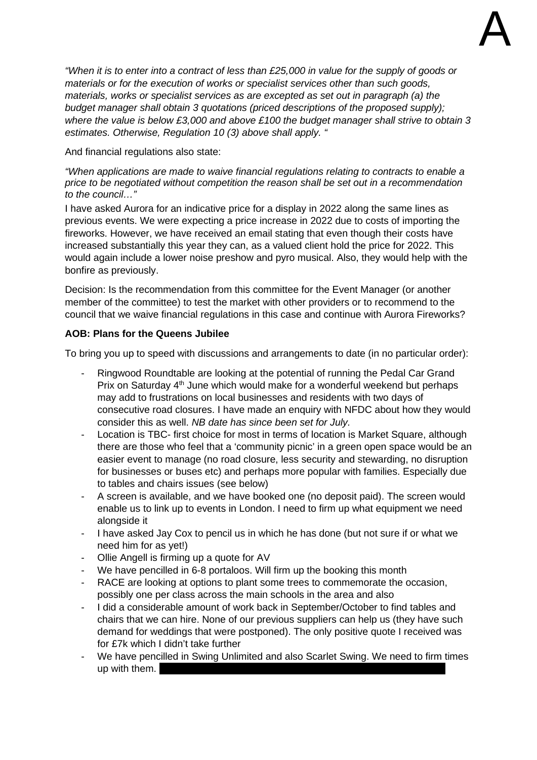

*"When it is to enter into a contract of less than £25,000 in value for the supply of goods or materials or for the execution of works or specialist services other than such goods, materials, works or specialist services as are excepted as set out in paragraph (a) the budget manager shall obtain 3 quotations (priced descriptions of the proposed supply); where the value is below £3,000 and above £100 the budget manager shall strive to obtain 3 estimates. Otherwise, Regulation 10 (3) above shall apply. "* 

#### And financial regulations also state:

*"When applications are made to waive financial regulations relating to contracts to enable a price to be negotiated without competition the reason shall be set out in a recommendation to the council…"* 

I have asked Aurora for an indicative price for a display in 2022 along the same lines as previous events. We were expecting a price increase in 2022 due to costs of importing the fireworks. However, we have received an email stating that even though their costs have increased substantially this year they can, as a valued client hold the price for 2022. This would again include a lower noise preshow and pyro musical. Also, they would help with the bonfire as previously.

Decision: Is the recommendation from this committee for the Event Manager (or another member of the committee) to test the market with other providers or to recommend to the council that we waive financial regulations in this case and continue with Aurora Fireworks?

#### **AOB: Plans for the Queens Jubilee**

To bring you up to speed with discussions and arrangements to date (in no particular order):

- Ringwood Roundtable are looking at the potential of running the Pedal Car Grand Prix on Saturday 4<sup>th</sup> June which would make for a wonderful weekend but perhaps may add to frustrations on local businesses and residents with two days of consecutive road closures. I have made an enquiry with NFDC about how they would consider this as well. *NB date has since been set for July.*
- Location is TBC- first choice for most in terms of location is Market Square, although there are those who feel that a 'community picnic' in a green open space would be an easier event to manage (no road closure, less security and stewarding, no disruption for businesses or buses etc) and perhaps more popular with families. Especially due to tables and chairs issues (see below)
- A screen is available, and we have booked one (no deposit paid). The screen would enable us to link up to events in London. I need to firm up what equipment we need alongside it
- I have asked Jay Cox to pencil us in which he has done (but not sure if or what we need him for as yet!)
- Ollie Angell is firming up a quote for AV
- We have pencilled in 6-8 portaloos. Will firm up the booking this month
- RACE are looking at options to plant some trees to commemorate the occasion, possibly one per class across the main schools in the area and also
- I did a considerable amount of work back in September/October to find tables and chairs that we can hire. None of our previous suppliers can help us (they have such demand for weddings that were postponed). The only positive quote I received was for £7k which I didn't take further
- We have pencilled in Swing Unlimited and also Scarlet Swing. We need to firm times up with them.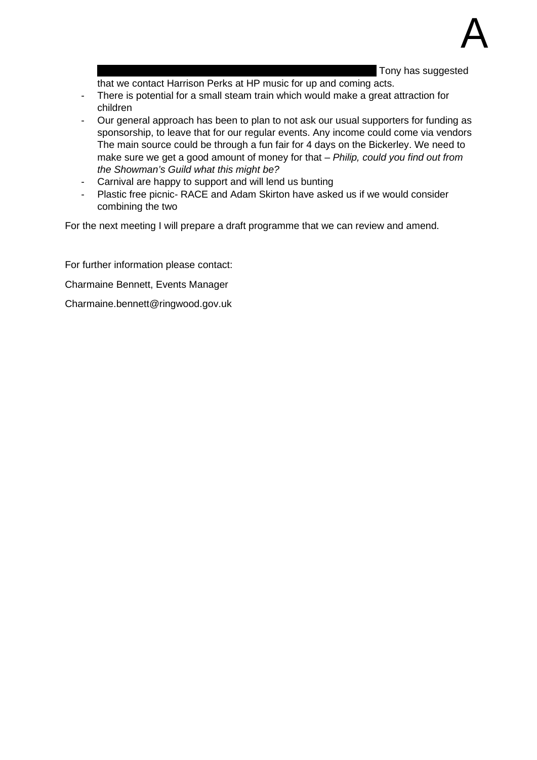Tony has suggested

that we contact Harrison Perks at HP music for up and coming acts.

- There is potential for a small steam train which would make a great attraction for children
- Our general approach has been to plan to not ask our usual supporters for funding as sponsorship, to leave that for our regular events. Any income could come via vendors The main source could be through a fun fair for 4 days on the Bickerley. We need to make sure we get a good amount of money for that – *Philip, could you find out from the Showman's Guild what this might be?*
- Carnival are happy to support and will lend us bunting
- Plastic free picnic- RACE and Adam Skirton have asked us if we would consider combining the two

For the next meeting I will prepare a draft programme that we can review and amend.

For further information please contact: Charmaine Bennett, Events Manager Charmaine.bennett@ringwood.gov.uk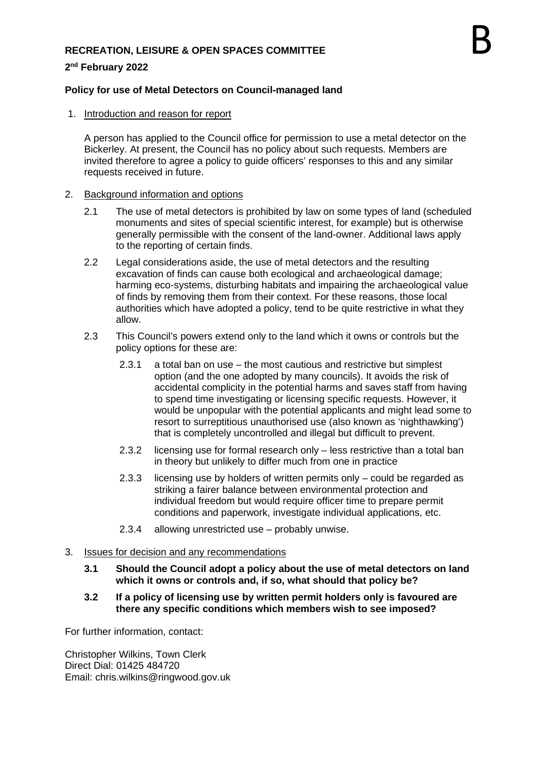#### **RECREATION, LEISURE & OPEN SPACES COMMITTEE**

#### **2 nd February 2022**

#### **Policy for use of Metal Detectors on Council-managed land**

1. Introduction and reason for report

A person has applied to the Council office for permission to use a metal detector on the Bickerley. At present, the Council has no policy about such requests. Members are invited therefore to agree a policy to guide officers' responses to this and any similar requests received in future.

#### 2. Background information and options

- 2.1 The use of metal detectors is prohibited by law on some types of land (scheduled monuments and sites of special scientific interest, for example) but is otherwise generally permissible with the consent of the land-owner. Additional laws apply to the reporting of certain finds.
- 2.2 Legal considerations aside, the use of metal detectors and the resulting excavation of finds can cause both ecological and archaeological damage; harming eco-systems, disturbing habitats and impairing the archaeological value of finds by removing them from their context. For these reasons, those local authorities which have adopted a policy, tend to be quite restrictive in what they allow.
- 2.3 This Council's powers extend only to the land which it owns or controls but the policy options for these are:
	- 2.3.1 a total ban on use the most cautious and restrictive but simplest option (and the one adopted by many councils). It avoids the risk of accidental complicity in the potential harms and saves staff from having to spend time investigating or licensing specific requests. However, it would be unpopular with the potential applicants and might lead some to resort to surreptitious unauthorised use (also known as 'nighthawking') that is completely uncontrolled and illegal but difficult to prevent.
	- 2.3.2 licensing use for formal research only less restrictive than a total ban in theory but unlikely to differ much from one in practice
	- 2.3.3 licensing use by holders of written permits only could be regarded as striking a fairer balance between environmental protection and individual freedom but would require officer time to prepare permit conditions and paperwork, investigate individual applications, etc.
	- 2.3.4 allowing unrestricted use probably unwise.

#### 3. Issues for decision and any recommendations

- **3.1 Should the Council adopt a policy about the use of metal detectors on land which it owns or controls and, if so, what should that policy be?**
- **3.2 If a policy of licensing use by written permit holders only is favoured are there any specific conditions which members wish to see imposed?**

For further information, contact:

Christopher Wilkins, Town Clerk Direct Dial: 01425 484720 Email: chris.wilkins@ringwood.gov.uk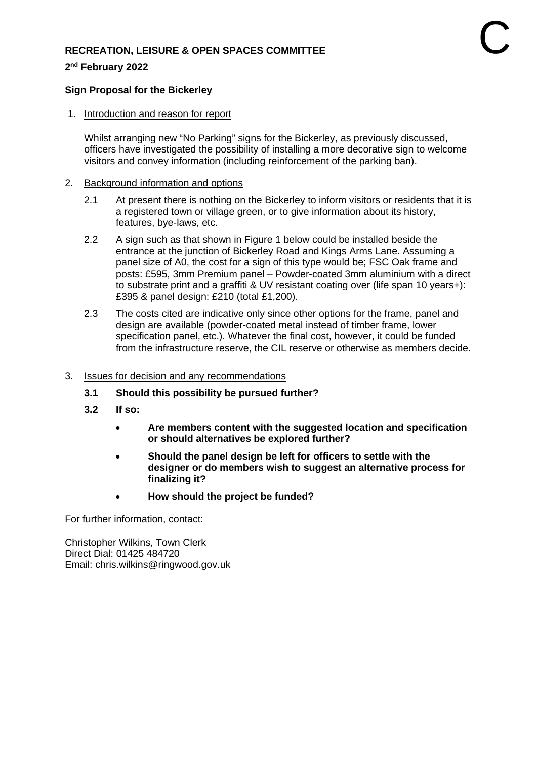#### **RECREATION, LEISURE & OPEN SPACES COMMITTEE**

**2 nd February 2022** 

#### **Sign Proposal for the Bickerley**

1. Introduction and reason for report

Whilst arranging new "No Parking" signs for the Bickerley, as previously discussed, officers have investigated the possibility of installing a more decorative sign to welcome visitors and convey information (including reinforcement of the parking ban).

#### 2. Background information and options

- 2.1 At present there is nothing on the Bickerley to inform visitors or residents that it is a registered town or village green, or to give information about its history, features, bye-laws, etc.
- 2.2 A sign such as that shown in Figure 1 below could be installed beside the entrance at the junction of Bickerley Road and Kings Arms Lane. Assuming a panel size of A0, the cost for a sign of this type would be; FSC Oak frame and posts: £595, 3mm Premium panel – Powder-coated 3mm aluminium with a direct to substrate print and a graffiti & UV resistant coating over (life span 10 years+): £395 & panel design: £210 (total £1,200).
- 2.3 The costs cited are indicative only since other options for the frame, panel and design are available (powder-coated metal instead of timber frame, lower specification panel, etc.). Whatever the final cost, however, it could be funded from the infrastructure reserve, the CIL reserve or otherwise as members decide.

#### 3. Issues for decision and any recommendations

- **3.1 Should this possibility be pursued further?**
- **3.2 If so:** 
	- **Are members content with the suggested location and specification or should alternatives be explored further?**
	- **Should the panel design be left for officers to settle with the designer or do members wish to suggest an alternative process for finalizing it?**
	- **How should the project be funded?**

For further information, contact:

Christopher Wilkins, Town Clerk Direct Dial: 01425 484720 Email: chris.wilkins@ringwood.gov.uk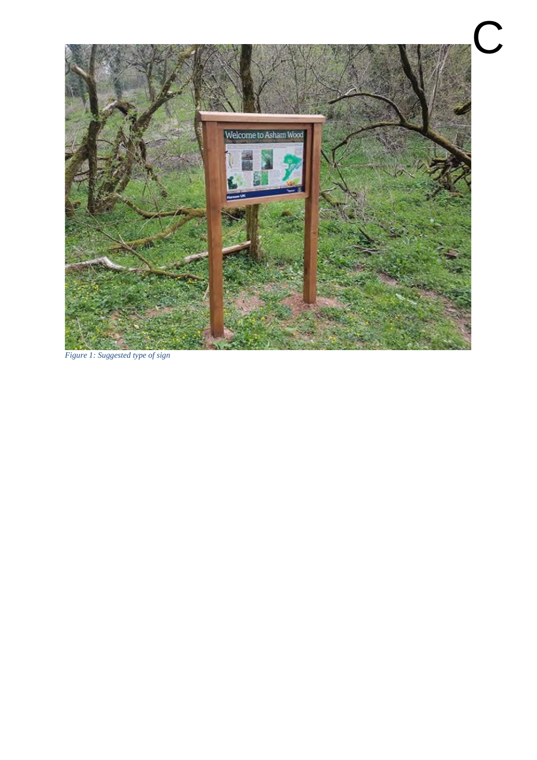

*Figure 1: Suggested type of sign*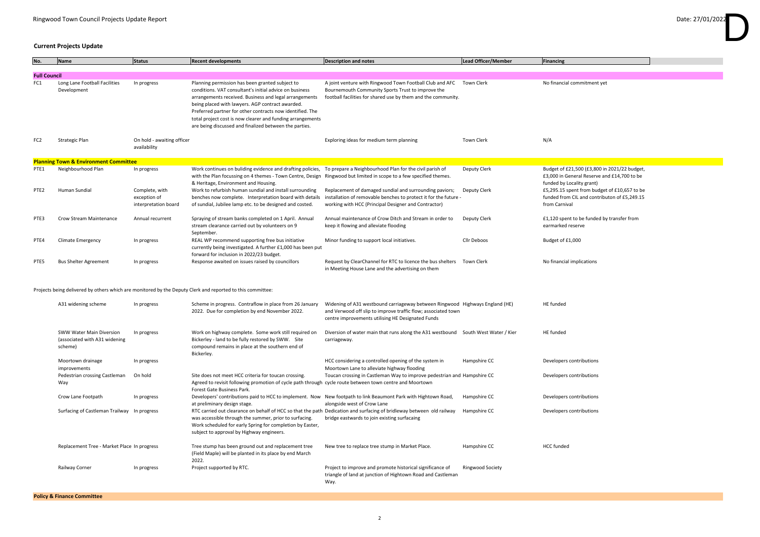### **Current Projects Update**

| No.                 | Name                                                                        | <b>Status</b>                                          | <b>Recent developments</b>                                                                                                                                                                                                                                                                                                                                                                                    | <b>Description and notes</b>                                                                                                                                                                       | Lead Officer/Member     | Financing                                                   |
|---------------------|-----------------------------------------------------------------------------|--------------------------------------------------------|---------------------------------------------------------------------------------------------------------------------------------------------------------------------------------------------------------------------------------------------------------------------------------------------------------------------------------------------------------------------------------------------------------------|----------------------------------------------------------------------------------------------------------------------------------------------------------------------------------------------------|-------------------------|-------------------------------------------------------------|
|                     |                                                                             |                                                        |                                                                                                                                                                                                                                                                                                                                                                                                               |                                                                                                                                                                                                    |                         |                                                             |
| <b>Full Council</b> |                                                                             |                                                        |                                                                                                                                                                                                                                                                                                                                                                                                               |                                                                                                                                                                                                    |                         |                                                             |
| FC1                 | Long Lane Football Facilities<br>Development                                | In progress                                            | Planning permission has been granted subject to<br>conditions. VAT consultant's initial advice on business<br>arrangements received. Business and legal arrangements<br>being placed with lawyers. AGP contract awarded.<br>Preferred partner for other contracts now identified. The<br>total project cost is now clearer and funding arrangements<br>are being discussed and finalized between the parties. | A joint venture with Ringwood Town Football Club and AFC<br>Bournemouth Community Sports Trust to improve the<br>football facilities for shared use by them and the community.                     | Town Clerk              | No financial comr                                           |
| FC <sub>2</sub>     | <b>Strategic Plan</b>                                                       | On hold - awaiting officer<br>availability             |                                                                                                                                                                                                                                                                                                                                                                                                               | Exploring ideas for medium term planning                                                                                                                                                           | <b>Town Clerk</b>       | N/A                                                         |
|                     | <b>Planning Town &amp; Environment Committee</b>                            |                                                        |                                                                                                                                                                                                                                                                                                                                                                                                               |                                                                                                                                                                                                    |                         |                                                             |
| PTE1                | Neighbourhood Plan                                                          | In progress                                            | Work continues on buliding evidence and drafting policies, To prepare a Neighbourhood Plan for the civil parish of<br>with the Plan focussing on 4 themes - Town Centre, Design Ringwood but limited in scope to a few specified themes.<br>& Heritage, Environment and Housing.                                                                                                                              |                                                                                                                                                                                                    | Deputy Clerk            | Budget of £21,50<br>£3,000 in General<br>funded by Locality |
| PTE <sub>2</sub>    | Human Sundial                                                               | Complete, with<br>exception of<br>interpretation board | Work to refurbish human sundial and install surrounding<br>benches now complete. Interpretation board with details<br>of sundial, Jubilee lamp etc. to be designed and costed.                                                                                                                                                                                                                                | Replacement of damaged sundial and surrounding paviors;<br>installation of removable benches to protect it for the future -<br>working with HCC (Principal Designer and Contractor)                | Deputy Clerk            | £5,295.15 spent f<br>funded from CIL a<br>from Carnival     |
| PTE3                | <b>Crow Stream Maintenance</b>                                              | Annual recurrent                                       | Spraying of stream banks completed on 1 April. Annual<br>stream clearance carried out by volunteers on 9<br>September.                                                                                                                                                                                                                                                                                        | Annual maintenance of Crow Ditch and Stream in order to<br>keep it flowing and alleviate flooding                                                                                                  | Deputy Clerk            | $£1,120$ spent to b<br>earmarked reserv                     |
| PTE4                | <b>Climate Emergency</b>                                                    | In progress                                            | REAL WP recommend supporting free bus initiative<br>currently being investigated. A further £1,000 has been put<br>forward for inclusion in 2022/23 budget.                                                                                                                                                                                                                                                   | Minor funding to support local initiatives.                                                                                                                                                        | Cllr Deboos             | Budget of £1,000                                            |
| PTE5                | <b>Bus Shelter Agreement</b>                                                | In progress                                            | Response awaited on issues raised by councillors                                                                                                                                                                                                                                                                                                                                                              | Request by ClearChannel for RTC to licence the bus shelters<br>in Meeting House Lane and the advertising on them                                                                                   | Town Clerk              | No financial impli                                          |
|                     |                                                                             |                                                        | Projects being delivered by others which are monitored by the Deputy Clerk and reported to this committee:                                                                                                                                                                                                                                                                                                    |                                                                                                                                                                                                    |                         |                                                             |
|                     | A31 widening scheme                                                         | In progress                                            | Scheme in progress. Contraflow in place from 26 January<br>2022. Due for completion by end November 2022.                                                                                                                                                                                                                                                                                                     | Widening of A31 westbound carriageway between Ringwood Highways England (HE)<br>and Verwood off slip to improve traffic flow; associated town<br>centre improvements utilising HE Designated Funds |                         | HE funded                                                   |
|                     | <b>SWW Water Main Diversion</b><br>(associated with A31 widening<br>scheme) | In progress                                            | Work on highway complete. Some work still required on<br>Bickerley - land to be fully restored by SWW. Site<br>compound remains in place at the southern end of<br>Bickerley.                                                                                                                                                                                                                                 | Diversion of water main that runs along the A31 westbound South West Water / Kier<br>carriageway.                                                                                                  |                         | HE funded                                                   |
|                     | Moortown drainage<br>improvements                                           | In progress                                            |                                                                                                                                                                                                                                                                                                                                                                                                               | HCC considering a controlled opening of the system in<br>Moortown Lane to alleviate highway flooding                                                                                               | Hampshire CC            | Developers contri                                           |
|                     | Pedestrian crossing Castleman<br>Way                                        | On hold                                                | Site does not meet HCC criteria for toucan crossing.<br>Agreed to revisit following promotion of cycle path through cycle route between town centre and Moortown<br>Forest Gate Business Park.                                                                                                                                                                                                                | Toucan crossing in Castleman Way to improve pedestrian and Hampshire CC                                                                                                                            |                         | Developers contri                                           |
|                     | Crow Lane Footpath                                                          | In progress                                            | Developers' contributions paid to HCC to implement. Now New footpath to link Beaumont Park with Hightown Road,<br>at preliminary design stage.                                                                                                                                                                                                                                                                | alongside west of Crow Lane                                                                                                                                                                        | Hampshire CC            | Developers contri                                           |
|                     | Surfacing of Castleman Trailway In progress                                 |                                                        | was accessible through the summer, prior to surfacing.<br>Work scheduled for early Spring for completion by Easter,<br>subject to approval by Highway engineers.                                                                                                                                                                                                                                              | RTC carried out clearance on behalf of HCC so that the path Dedication and surfacing of bridleway between old railway<br>bridge eastwards to join existing surfacaing                              | Hampshire CC            | Developers contri                                           |
|                     | Replacement Tree - Market Place In progress                                 |                                                        | Tree stump has been ground out and replacement tree<br>(Field Maple) will be planted in its place by end March<br>2022.                                                                                                                                                                                                                                                                                       | New tree to replace tree stump in Market Place.                                                                                                                                                    | Hampshire CC            | <b>HCC</b> funded                                           |
|                     | Railway Corner                                                              | In progress                                            | Project supported by RTC.                                                                                                                                                                                                                                                                                                                                                                                     | Project to improve and promote historical significance of<br>triangle of land at junction of Hightown Road and Castleman<br>Way.                                                                   | <b>Ringwood Society</b> |                                                             |

**Policy & Finance Committee**

# D

commitment yet

 $1,500$  (£3,800 in 2021/22 budget, neral Reserve and  $£14,700$  to be cality grant) ent from budget of £10,657 to be CIL and contributon of  $£5,249.15$ 

t to be funded by transfer from eserve

implications

ontributions

ontributions

ontributions

ontributions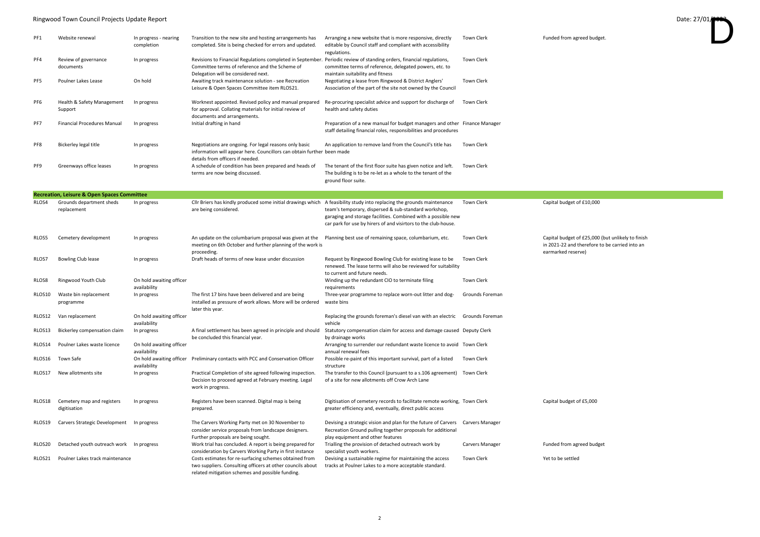#### Ringwood Town Council Projects Update Report Date: 27/01/

| PF1             | Website renewal                                        | In progress - nearing<br>completion      | Transition to the new site and hosting arrangements has<br>completed. Site is being checked for errors and updated.                                                                                            | Arranging a new website that is more responsive, directly<br>editable by Council staff and compliant with accessibility<br>regulations.                                                 | <b>Town Clerk</b>      | Funded from agr                                         |
|-----------------|--------------------------------------------------------|------------------------------------------|----------------------------------------------------------------------------------------------------------------------------------------------------------------------------------------------------------------|-----------------------------------------------------------------------------------------------------------------------------------------------------------------------------------------|------------------------|---------------------------------------------------------|
| PF4             | Review of governance<br>documents                      | In progress                              | Revisions to Financial Regulations completed in September. Periodic review of standing orders, financial regulations,<br>Committee terms of reference and the Scheme of<br>Delegation will be considered next. | committee terms of reference, delegated powers, etc. to<br>maintain suitability and fitness                                                                                             | <b>Town Clerk</b>      |                                                         |
| PF <sub>5</sub> | Poulner Lakes Lease                                    | On hold                                  | Awaiting track maintenance solution - see Recreation<br>Leisure & Open Spaces Committee item RLOS21.                                                                                                           | Negotiating a lease from Ringwood & District Anglers'<br>Association of the part of the site not owned by the Council                                                                   | <b>Town Clerk</b>      |                                                         |
| PF6             | Health & Safety Management<br>Support                  | In progress                              | Worknest appointed. Revised policy and manual prepared<br>for approval. Collating materials for initial review of<br>documents and arrangements.                                                               | Re-procuring specialist advice and support for discharge of<br>health and safety duties                                                                                                 | <b>Town Clerk</b>      |                                                         |
| PF7             | <b>Financial Procedures Manual</b>                     | In progress                              | Initial drafting in hand                                                                                                                                                                                       | Preparation of a new manual for budget managers and other Finance Manager<br>staff detailing financial roles, responsibilities and procedures                                           |                        |                                                         |
| PF8             | Bickerley legal title                                  | In progress                              | Negotiations are ongoing. For legal reasons only basic<br>information will appear here. Councillors can obtain further been made<br>details from officers if needed.                                           | An application to remove land from the Council's title has                                                                                                                              | <b>Town Clerk</b>      |                                                         |
| PF9             | Greenways office leases                                | In progress                              | A schedule of condition has been prepared and heads of<br>terms are now being discussed.                                                                                                                       | The tenant of the first floor suite has given notice and left.<br>The building is to be re-let as a whole to the tenant of the<br>ground floor suite.                                   | <b>Town Clerk</b>      |                                                         |
|                 | <b>Recreation, Leisure &amp; Open Spaces Committee</b> |                                          |                                                                                                                                                                                                                |                                                                                                                                                                                         |                        |                                                         |
| RLOS4           | Grounds department sheds<br>replacement                | In progress                              | Cllr Briers has kindly produced some initial drawings which A feasibility study into replacing the grounds maintenance<br>are being considered.                                                                | team's temporary, dispersed & sub-standard workshop,<br>garaging and storage facilities. Combined with a possible new<br>car park for use by hirers of and visirtors to the club-house. | <b>Town Clerk</b>      | Capital budget o                                        |
| RLOS5           | Cemetery development                                   | In progress                              | An update on the columbarium proposal was given at the<br>meeting on 6th October and further planning of the work is<br>proceeding.                                                                            | Planning best use of remaining space, columbarium, etc.                                                                                                                                 | <b>Town Clerk</b>      | Capital budget o<br>in 2021-22 and t<br>earmarked reser |
| RLOS7           | <b>Bowling Club lease</b>                              | In progress                              | Draft heads of terms of new lease under discussion                                                                                                                                                             | Request by Ringwood Bowling Club for existing lease to be<br>renewed. The lease terms will also be reviewed for suitability<br>to current and future needs.                             | <b>Town Clerk</b>      |                                                         |
| RLOS8           | Ringwood Youth Club                                    | On hold awaiting officer<br>availability |                                                                                                                                                                                                                | Winding up the redundant CIO to terminate filing<br>requirements                                                                                                                        | <b>Town Clerk</b>      |                                                         |
| RLOS10          | Waste bin replacement<br>programme                     | In progress                              | The first 17 bins have been delivered and are being<br>installed as pressure of work allows. More will be ordered<br>later this year.                                                                          | Three-year programme to replace worn-out litter and dog-<br>waste bins                                                                                                                  | Grounds Foreman        |                                                         |
| RLOS12          | Van replacement                                        | On hold awaiting officer<br>availability |                                                                                                                                                                                                                | Replacing the grounds foreman's diesel van with an electric<br>vehicle                                                                                                                  | Grounds Foreman        |                                                         |
| RLOS13          | Bickerley compensation claim                           | In progress                              | A final settlement has been agreed in principle and should<br>be concluded this financial year.                                                                                                                | Statutory compensation claim for access and damage caused Deputy Clerk<br>by drainage works                                                                                             |                        |                                                         |
| RLOS14          | Poulner Lakes waste licence                            | On hold awaiting officer<br>availability |                                                                                                                                                                                                                | Arranging to surrender our redundant waste licence to avoid Town Clerk<br>annual renewal fees                                                                                           |                        |                                                         |
| RLOS16          | Town Safe                                              | availability                             | On hold awaiting officer Preliminary contacts with PCC and Conservation Officer                                                                                                                                | Possible re-paint of this important survival, part of a listed<br>structure                                                                                                             | <b>Town Clerk</b>      |                                                         |
| RLOS17          | New allotments site                                    | In progress                              | Practical Completion of site agreed following inspection.<br>Decision to proceed agreed at February meeting. Legal<br>work in progress.                                                                        | The transfer to this Council (pursuant to a s.106 agreement) Town Clerk<br>of a site for new allotments off Crow Arch Lane                                                              |                        |                                                         |
| RLOS18          | Cemetery map and registers<br>digitisation             | In progress                              | Registers have been scanned. Digital map is being<br>prepared.                                                                                                                                                 | Digitisation of cemetery records to facilitate remote working, Town Clerk<br>greater efficiency and, eventually, direct public access                                                   |                        | Capital budget o                                        |
| RLOS19          | Carvers Strategic Development                          | In progress                              | The Carvers Working Party met on 30 November to<br>consider service proposals from landscape designers.<br>Further proposals are being sought.                                                                 | Devising a strategic vision and plan for the future of Carvers<br>Recreation Ground pulling together proposals for additional<br>play equipment and other features                      | Carvers Manager        |                                                         |
| RLOS20          | Detached youth outreach work                           | In progress                              | Work trial has concluded. A report is being prepared for<br>consideration by Carvers Working Party in first instance                                                                                           | Trialling the provision of detached outreach work by<br>specialist youth workers.                                                                                                       | <b>Carvers Manager</b> | Funded from agr                                         |
| RLOS21          | Poulner Lakes track maintenance                        |                                          | Costs estimates for re-surfacing schemes obtained from<br>two suppliers. Consulting officers at other councils about<br>related mitigation schemes and possible funding.                                       | Devising a sustainable regime for maintaining the access<br>tracks at Poulner Lakes to a more acceptable standard.                                                                      | <b>Town Clerk</b>      | Yet to be settled                                       |

n agreed budget.



get of  $£10,000$ 

Planning best of £25,000 (but unlikely to finish and therefore to be carried into an eserve)

get of  $£5,000$ 

agreed budget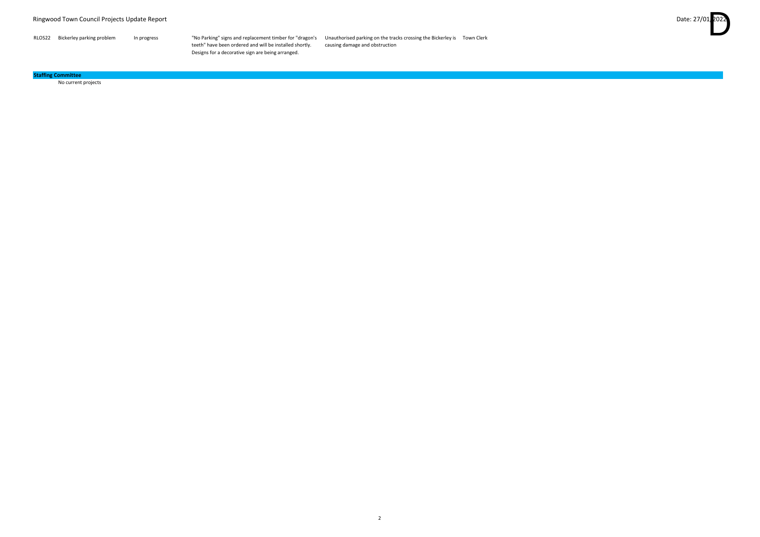RLOS22 Bickerley parking problem In progress "No Parking" signs and replacement timber for "dragon's Unauthorised parking on the tracks crossing the Bickerley is Town Clerk causing damage and obstruction

| RLOS22 | Bickerley parking problem | In progress |
|--------|---------------------------|-------------|
|--------|---------------------------|-------------|

teeth" have been ordered and will be installed shortly. Designs for a decorative sign are being arranged.

No current projects

#### **Staffing Committee**

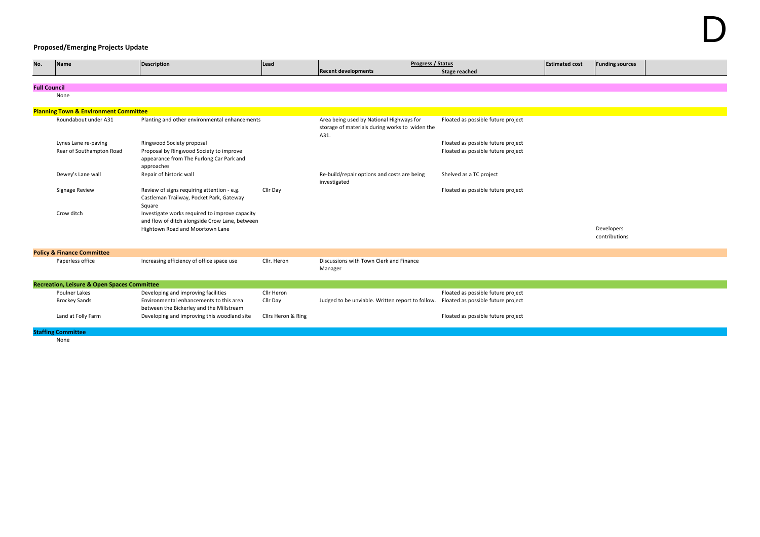## **Proposed/Emerging Projects Update**

| No.                 | <b>Name</b>                                            | <b>Description</b>                                                                                | Lead               | Progress / Status                                                                                  |                                    | <b>Estimated cost</b> | <b>Funding sources</b> |
|---------------------|--------------------------------------------------------|---------------------------------------------------------------------------------------------------|--------------------|----------------------------------------------------------------------------------------------------|------------------------------------|-----------------------|------------------------|
|                     |                                                        |                                                                                                   |                    | <b>Recent developments</b>                                                                         | <b>Stage reached</b>               |                       |                        |
|                     |                                                        |                                                                                                   |                    |                                                                                                    |                                    |                       |                        |
| <b>Full Council</b> |                                                        |                                                                                                   |                    |                                                                                                    |                                    |                       |                        |
|                     | None                                                   |                                                                                                   |                    |                                                                                                    |                                    |                       |                        |
|                     |                                                        |                                                                                                   |                    |                                                                                                    |                                    |                       |                        |
|                     | <b>Planning Town &amp; Environment Committee</b>       |                                                                                                   |                    |                                                                                                    |                                    |                       |                        |
|                     | Roundabout under A31                                   | Planting and other environmental enhancements                                                     |                    | Area being used by National Highways for<br>storage of materials during works to widen the<br>A31. | Floated as possible future project |                       |                        |
|                     | Lynes Lane re-paving                                   | Ringwood Society proposal                                                                         |                    |                                                                                                    | Floated as possible future project |                       |                        |
|                     | Rear of Southampton Road                               | Proposal by Ringwood Society to improve<br>appearance from The Furlong Car Park and<br>approaches |                    |                                                                                                    | Floated as possible future project |                       |                        |
|                     | Dewey's Lane wall                                      | Repair of historic wall                                                                           |                    | Re-build/repair options and costs are being<br>investigated                                        | Shelved as a TC project            |                       |                        |
|                     | Signage Review                                         | Review of signs requiring attention - e.g.<br>Castleman Trailway, Pocket Park, Gateway<br>Square  | Cllr Day           |                                                                                                    | Floated as possible future project |                       |                        |
|                     | Crow ditch                                             | Investigate works required to improve capacity<br>and flow of ditch alongside Crow Lane, between  |                    |                                                                                                    |                                    |                       |                        |
|                     |                                                        | Hightown Road and Moortown Lane                                                                   |                    |                                                                                                    |                                    |                       | Developers             |
|                     |                                                        |                                                                                                   |                    |                                                                                                    |                                    |                       | contributions          |
|                     |                                                        |                                                                                                   |                    |                                                                                                    |                                    |                       |                        |
|                     | <b>Policy &amp; Finance Committee</b>                  |                                                                                                   |                    |                                                                                                    |                                    |                       |                        |
|                     | Paperless office                                       | Increasing efficiency of office space use                                                         | Cllr. Heron        | Discussions with Town Clerk and Finance<br>Manager                                                 |                                    |                       |                        |
|                     | <b>Recreation, Leisure &amp; Open Spaces Committee</b> |                                                                                                   |                    |                                                                                                    |                                    |                       |                        |
|                     | <b>Poulner Lakes</b>                                   | Developing and improving facilities                                                               | Cllr Heron         |                                                                                                    | Floated as possible future project |                       |                        |
|                     | <b>Brockey Sands</b>                                   | Environmental enhancements to this area                                                           | Cllr Day           | Judged to be unviable. Written report to follow.                                                   | Floated as possible future project |                       |                        |
|                     |                                                        | between the Bickerley and the Millstream                                                          |                    |                                                                                                    |                                    |                       |                        |
|                     | Land at Folly Farm                                     | Developing and improving this woodland site                                                       | Cllrs Heron & Ring |                                                                                                    | Floated as possible future project |                       |                        |
|                     | <b>Staffing Committee</b>                              |                                                                                                   |                    |                                                                                                    |                                    |                       |                        |
|                     | None                                                   |                                                                                                   |                    |                                                                                                    |                                    |                       |                        |